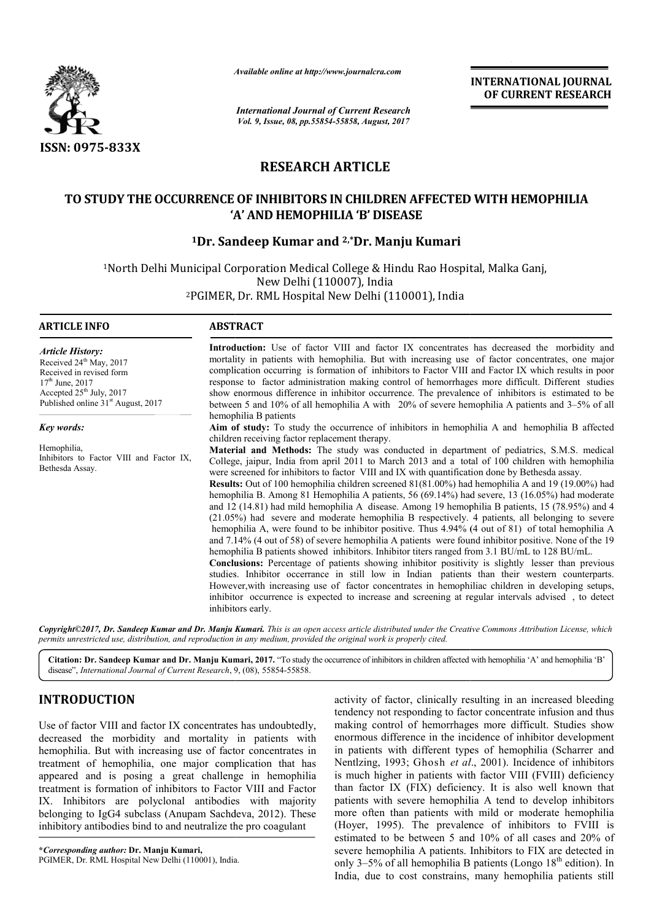

*Available online at http://www.journal http://www.journalcra.com*

*International Journal of Current Research Vol. 9, Issue, 08, pp.55854-55858, August, 2017* **INTERNATIONAL JOURNAL OF CURRENT RESEARCH** 

# **RESEARCH ARTICLE**

# TO STUDY THE OCCURRENCE OF INHIBITORS IN CHILDREN AFFECTED WITH HEMOPHILIA **'A' AND HEMOPHILIA 'B' DISEASE**

# **1Dr. Sandeep Kumar and 2,\*Dr. Manju Kumari**

1North Delhi Municipal Corporation Medical College & Hindu Rao Hospital, Malka Ganj, 2PGIMER, Dr. RML Hospital New Delhi (110001), India New Delhi (110007), India

| <b>ARTICLE INFO</b>                                                                                                                                                                             | <b>ABSTRACT</b>                                                                                                                                                                                                                                                                                                                                                                                                                                                                                                                                                                                                                                                                                                                                                                                                                                                                                                                                                                                                                                                                                                                                                                                                                                                                                                                                                                                                                                                                 |  |  |  |  |
|-------------------------------------------------------------------------------------------------------------------------------------------------------------------------------------------------|---------------------------------------------------------------------------------------------------------------------------------------------------------------------------------------------------------------------------------------------------------------------------------------------------------------------------------------------------------------------------------------------------------------------------------------------------------------------------------------------------------------------------------------------------------------------------------------------------------------------------------------------------------------------------------------------------------------------------------------------------------------------------------------------------------------------------------------------------------------------------------------------------------------------------------------------------------------------------------------------------------------------------------------------------------------------------------------------------------------------------------------------------------------------------------------------------------------------------------------------------------------------------------------------------------------------------------------------------------------------------------------------------------------------------------------------------------------------------------|--|--|--|--|
| <b>Article History:</b><br>Received 24 <sup>th</sup> May, 2017<br>Received in revised form<br>$17th$ June, 2017<br>Accepted $25th$ July, 2017<br>Published online 31 <sup>st</sup> August, 2017 | Introduction: Use of factor VIII and factor IX concentrates has decreased the morbidity and<br>mortality in patients with hemophilia. But with increasing use of factor concentrates, one major<br>complication occurring is formation of inhibitors to Factor VIII and Factor IX which results in poor<br>response to factor administration making control of hemorrhages more difficult. Different studies<br>show enormous difference in inhibitor occurrence. The prevalence of inhibitors is estimated to be<br>between 5 and 10% of all hemophilia A with 20% of severe hemophilia A patients and 3–5% of all                                                                                                                                                                                                                                                                                                                                                                                                                                                                                                                                                                                                                                                                                                                                                                                                                                                             |  |  |  |  |
| <b>Key words:</b>                                                                                                                                                                               | hemophilia B patients<br>Aim of study: To study the occurrence of inhibitors in hemophilia A and hemophilia B affected<br>children receiving factor replacement therapy.                                                                                                                                                                                                                                                                                                                                                                                                                                                                                                                                                                                                                                                                                                                                                                                                                                                                                                                                                                                                                                                                                                                                                                                                                                                                                                        |  |  |  |  |
| Hemophilia,<br>Inhibitors to Factor VIII and Factor IX,<br>Bethesda Assay.                                                                                                                      | <b>Material and Methods:</b> The study was conducted in department of pediatrics, S.M.S. medical<br>College, jaipur, India from april 2011 to March 2013 and a total of 100 children with hemophilia<br>were screened for inhibitors to factor VIII and IX with quantification done by Bethesda assay.<br><b>Results:</b> Out of 100 hemophilia children screened 81(81.00%) had hemophilia A and 19 (19.00%) had<br>hemophilia B. Among 81 Hemophilia A patients, 56 (69.14%) had severe, 13 (16.05%) had moderate<br>and 12 (14.81) had mild hemophilia A disease. Among 19 hemophilia B patients, 15 (78.95%) and 4<br>(21.05%) had severe and moderate hemophilia B respectively. 4 patients, all belonging to severe<br>hemophilia A, were found to be inhibitor positive. Thus 4.94% (4 out of 81) of total hemophilia A<br>and 7.14% (4 out of 58) of severe hemophilia A patients were found inhibitor positive. None of the 19<br>hemophilia B patients showed inhibitors. Inhibitor titers ranged from 3.1 BU/mL to 128 BU/mL.<br>Conclusions: Percentage of patients showing inhibitor positivity is slightly lesser than previous<br>studies. Inhibitor occerrance in still low in Indian patients than their western counterparts.<br>However, with increasing use of factor concentrates in hemophiliac children in developing setups,<br>inhibitor occurrence is expected to increase and screening at regular intervals advised, to detect<br>inhibitors early. |  |  |  |  |

*permits unrestricted use, distribution, and reproduction in any medium, provided the original work is properly cited.*

Citation: Dr. Sandeep Kumar and Dr. Manju Kumari, 2017. "To study the occurrence of inhibitors in children affected with hemophilia 'A' and hemophilia 'B' disease", *International Journal of Current Research*, 9, (08), 55854-55858.

# **INTRODUCTION**

Use of factor VIII and factor IX concentrates has undoubtedly, decreased the morbidity and mortality in patients with hemophilia. But with increasing use of factor concentrates in treatment of hemophilia, one major complication that has appeared and is posing a great challenge in hemophilia treatment is formation of inhibitors to Factor VIII and Factor IX. Inhibitors are polyclonal antibodies with majority belonging to IgG4 subclass (Anupam Sachdeva, 2012). These inhibitory antibodies bind to and neutralize the pro coagulant

**\****Corresponding author:* **Dr. Manju Kumari,** PGIMER, Dr. RML Hospital New Delhi (110001), India. activity of factor, clinically resulting in an increased bleeding activity of factor, clinically resulting in an increased bleeding<br>tendency not responding to factor concentrate infusion and thus making control of hemorrhages more difficult. Studies show enormous difference in the incidence of inhibitor development in patients with different types of hemophilia (Scharrer and Nentlzing, 1993; Ghosh et al., 2001). Incidence of inhibitors is much higher in patients with factor VIII (FVIII) deficiency than factor IX (FIX) deficiency. It is also well known that patients with severe hemophilia A tend to develop inhibitors more often than patients with mild or moderate hemophilia (Hoyer, 1995). The prevalence of inhibitors to FVIII is estimated to be between 5 and 10% of all cases and 20% of severe hemophilia A patients. Inhibitors to FIX are detected in only 3–5% of all hemophilia B patients (Longo  $18<sup>th</sup>$  edition). In India, due to cost constrains, many he hemophilia patients still making control of hemorrhages more difficult. Studies show<br>enormous difference in the incidence of inhibitor development<br>in patients with different types of hemophilia (Scharrer and higher in patients with factor VIII (FVIII) deficiency<br>tor IX (FIX) deficiency. It is also well known that<br>with severe hemophilia A tend to develop inhibitors ften than patients with mild or moderate hemophilia<br>1995). The prevalence of inhibitors to FVIII is<br>ed to be between 5 and 10% of all cases and 20% of<br>hemophilia A patients. Inhibitors to FIX are detected in<br>5% of all hem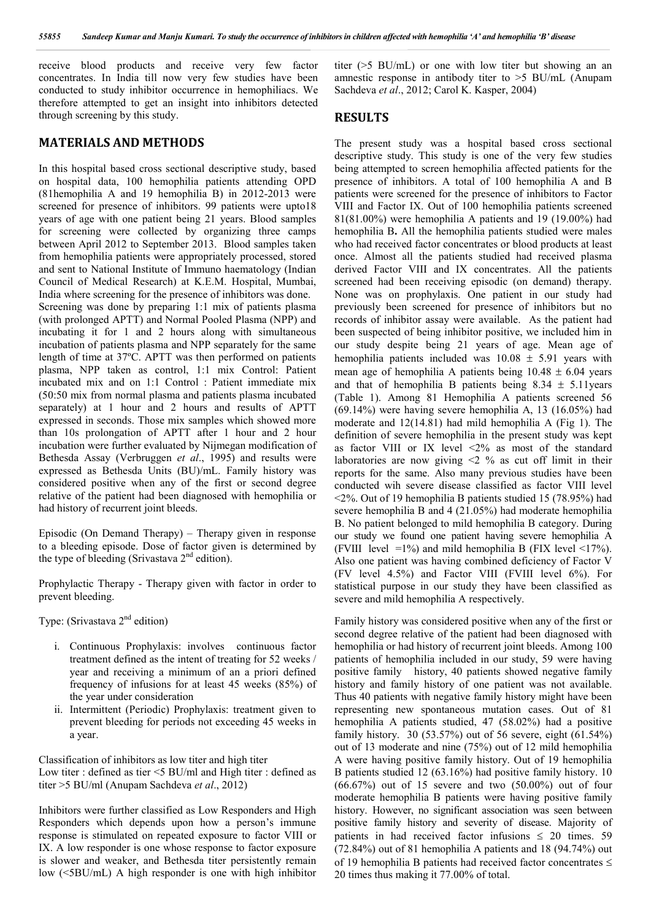receive blood products and receive very few factor concentrates. In India till now very few studies have been conducted to study inhibitor occurrence in hemophiliacs. We therefore attempted to get an insight into inhibitors detected through screening by this study.

## **MATERIALS AND METHODS**

In this hospital based cross sectional descriptive study, based on hospital data, 100 hemophilia patients attending OPD (81hemophilia A and 19 hemophilia B) in 2012-2013 were screened for presence of inhibitors. 99 patients were upto18 years of age with one patient being 21 years. Blood samples for screening were collected by organizing three camps between April 2012 to September 2013. Blood samples taken from hemophilia patients were appropriately processed, stored and sent to National Institute of Immuno haematology (Indian Council of Medical Research) at K.E.M. Hospital, Mumbai, India where screening for the presence of inhibitors was done. Screening was done by preparing 1:1 mix of patients plasma (with prolonged APTT) and Normal Pooled Plasma (NPP) and incubating it for 1 and 2 hours along with simultaneous incubation of patients plasma and NPP separately for the same length of time at 37ºC. APTT was then performed on patients plasma, NPP taken as control, 1:1 mix Control: Patient incubated mix and on 1:1 Control : Patient immediate mix (50:50 mix from normal plasma and patients plasma incubated separately) at 1 hour and 2 hours and results of APTT expressed in seconds. Those mix samples which showed more than 10s prolongation of APTT after 1 hour and 2 hour incubation were further evaluated by Nijmegan modification of Bethesda Assay (Verbruggen *et al*., 1995) and results were expressed as Bethesda Units (BU)/mL. Family history was considered positive when any of the first or second degree relative of the patient had been diagnosed with hemophilia or had history of recurrent joint bleeds.

Episodic (On Demand Therapy) – Therapy given in response to a bleeding episode. Dose of factor given is determined by the type of bleeding (Srivastava  $2<sup>nd</sup>$  edition).

Prophylactic Therapy - Therapy given with factor in order to prevent bleeding.

Type: (Srivastava 2<sup>nd</sup> edition)

- i. Continuous Prophylaxis: involves continuous factor treatment defined as the intent of treating for 52 weeks / year and receiving a minimum of an a priori defined frequency of infusions for at least 45 weeks (85%) of the year under consideration
- ii. Intermittent (Periodic) Prophylaxis: treatment given to prevent bleeding for periods not exceeding 45 weeks in a year.

Classification of inhibitors as low titer and high titer Low titer : defined as tier <5 BU/ml and High titer : defined as titer >5 BU/ml (Anupam Sachdeva *et al*., 2012)

Inhibitors were further classified as Low Responders and High Responders which depends upon how a person's immune response is stimulated on repeated exposure to factor VIII or IX. A low responder is one whose response to factor exposure is slower and weaker, and Bethesda titer persistently remain low (<5BU/mL) A high responder is one with high inhibitor titer (>5 BU/mL) or one with low titer but showing an an amnestic response in antibody titer to >5 BU/mL (Anupam Sachdeva *et al*., 2012; Carol K. Kasper, 2004)

## **RESULTS**

The present study was a hospital based cross sectional descriptive study. This study is one of the very few studies being attempted to screen hemophilia affected patients for the presence of inhibitors. A total of 100 hemophilia A and B patients were screened for the presence of inhibitors to Factor VIII and Factor IX. Out of 100 hemophilia patients screened 81(81.00%) were hemophilia A patients and 19 (19.00%) had hemophilia B**.** All the hemophilia patients studied were males who had received factor concentrates or blood products at least once. Almost all the patients studied had received plasma derived Factor VIII and IX concentrates. All the patients screened had been receiving episodic (on demand) therapy. None was on prophylaxis. One patient in our study had previously been screened for presence of inhibitors but no records of inhibitor assay were available. As the patient had been suspected of being inhibitor positive, we included him in our study despite being 21 years of age. Mean age of hemophilia patients included was  $10.08 \pm 5.91$  years with mean age of hemophilia A patients being  $10.48 \pm 6.04$  years and that of hemophilia B patients being  $8.34 \pm 5.11$ years (Table 1). Among 81 Hemophilia A patients screened 56 (69.14%) were having severe hemophilia A, 13 (16.05%) had moderate and 12(14.81) had mild hemophilia A (Fig 1). The definition of severe hemophilia in the present study was kept as factor VIII or IX level <2% as most of the standard laboratories are now giving <2 % as cut off limit in their reports for the same. Also many previous studies have been conducted wih severe disease classified as factor VIII level  $\langle 2\%$ . Out of 19 hemophilia B patients studied 15 (78.95%) had severe hemophilia B and 4 (21.05%) had moderate hemophilia B. No patient belonged to mild hemophilia B category. During our study we found one patient having severe hemophilia A (FVIII level  $=1\%$ ) and mild hemophilia B (FIX level  $\leq 17\%$ ). Also one patient was having combined deficiency of Factor V (FV level 4.5%) and Factor VIII (FVIII level 6%). For statistical purpose in our study they have been classified as severe and mild hemophilia A respectively.

Family history was considered positive when any of the first or second degree relative of the patient had been diagnosed with hemophilia or had history of recurrent joint bleeds. Among 100 patients of hemophilia included in our study, 59 were having positive family history, 40 patients showed negative family history and family history of one patient was not available. Thus 40 patients with negative family history might have been representing new spontaneous mutation cases. Out of 81 hemophilia A patients studied, 47 (58.02%) had a positive family history. 30 (53.57%) out of 56 severe, eight (61.54%) out of 13 moderate and nine (75%) out of 12 mild hemophilia A were having positive family history. Out of 19 hemophilia B patients studied 12 (63.16%) had positive family history. 10  $(66.67%)$  out of 15 severe and two  $(50.00%)$  out of four moderate hemophilia B patients were having positive family history. However, no significant association was seen between positive family history and severity of disease. Majority of patients in had received factor infusions  $\leq$  20 times. 59 (72.84%) out of 81 hemophilia A patients and 18 (94.74%) out of 19 hemophilia B patients had received factor concentrates  $\leq$ 20 times thus making it 77.00% of total.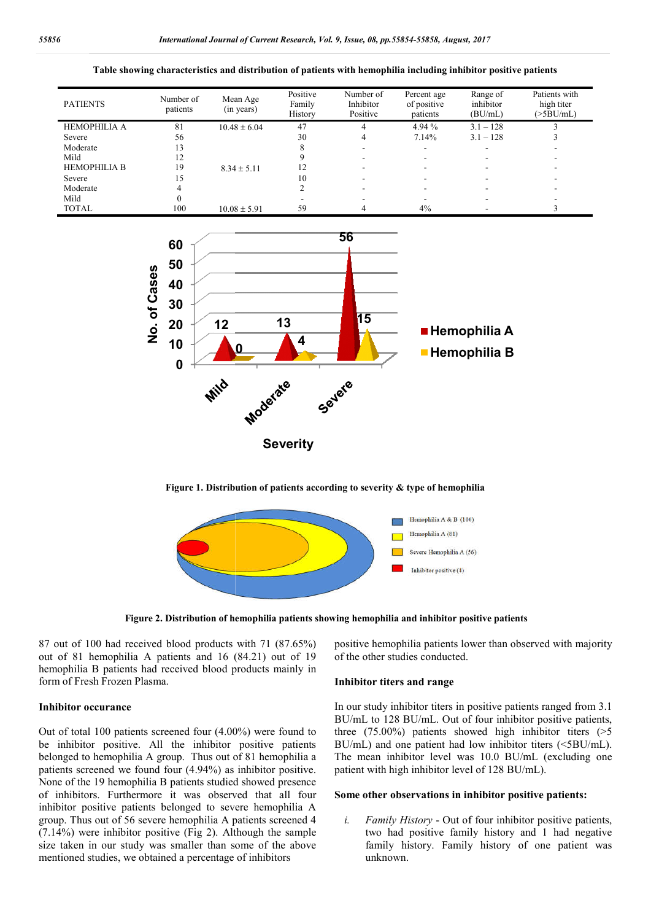#### **Table showing characteristics and distribution of patients with hemophilia including inhibitor positive patients**

| <b>PATIENTS</b>     | Number of<br>patients | Mean Age<br>(in years) | Positive<br>Family<br>History | Number of<br>Inhibitor<br>Positive | Percent age<br>of positive<br>patients | Range of<br>inhibitor<br>(BU/mL) | Patients with<br>high titer<br>(>5BU/mL) |
|---------------------|-----------------------|------------------------|-------------------------------|------------------------------------|----------------------------------------|----------------------------------|------------------------------------------|
| <b>HEMOPHILIA A</b> | 81                    | $10.48 \pm 6.04$       | 47                            | 4                                  | 4.94 %                                 | $3.1 - 128$                      |                                          |
| Severe              | 56                    |                        | 30                            | 4                                  | 7.14%                                  | $3.1 - 128$                      |                                          |
| Moderate            | 13                    |                        |                               |                                    |                                        |                                  |                                          |
| Mild                |                       |                        |                               |                                    |                                        |                                  |                                          |
| <b>HEMOPHILIA B</b> | 19                    | $8.34 \pm 5.11$        | 12                            |                                    |                                        |                                  |                                          |
| Severe              | 15                    |                        | 10                            |                                    |                                        |                                  |                                          |
| Moderate            |                       |                        |                               |                                    |                                        |                                  |                                          |
| Mild                |                       |                        |                               |                                    |                                        |                                  |                                          |
| <b>TOTAL</b>        | 100                   | $10.08 \pm 5.91$       | 59                            |                                    | 4%                                     |                                  |                                          |



**Figure 1. Distribution of patients according to severity & type of hemophilia**



**Figure 2. Distribution of hemophilia patients showing hemophilia and inhibitor positive patients**

87 out of 100 had received blood products with 71 (87.65%) out of 81 hemophilia A patients and 16 (84.21) out of 19 hemophilia B patients had received blood products mainly in form of Fresh Frozen Plasma.

### **Inhibitor occurance**

Out of total 100 patients screened four (4.00%) were found to be inhibitor positive. All the inhibitor positive patients belonged to hemophilia A group. Thus out of 81 hemophilia a patients screened we found four (4.94%) as inhibitor positive. None of the 19 hemophilia B patients studied showed presence of inhibitors. Furthermore it was observed that all four inhibitor positive patients belonged to severe hemophilia A group. Thus out of 56 severe hemophilia A patients screened 4 (7.14%) were inhibitor positive (Fig 2). Although the sample size taken in our study was smaller than some of the above mentioned studies, we obtained a percentage of inhibitors

of the other studies conducted.

#### **Inhibitor titers and range**

7 out of 100 had received blood products with 71 (87.65%) positive hemophilia patients lower than observed with majority<br>
ation of 81 hemophilia A patients and 16 (84.21) out of 19 of the other studies conducted.<br>
Emophil In our study inhibitor titers in positive patients ranged from 3.1 BU/mL to 128 BU/mL. Out of four inhibitor positive patients, three (75.00%) patients showed high inhibitor titers (>5 BU/mL) and one patient had low inhibitor titers (<5BU/mL). three (75.00%) patients showed high inhibitor titers ( $>5$  BU/mL) and one patient had low inhibitor titers ( $<5$ BU/mL). The mean inhibitor level was 10.0 BU/mL (excluding one patient with high inhibitor level of 128 BU/mL). patients lower than observed with majority<br>conducted.<br>**Trange**<br>or titers in positive patients ranged from 3.1<br>mL. Out of four inhibitor positive patients,

#### **Some other observations in inhibitor positive patients: in inhibitor positive**

*i. Family History* - Out of four inhibitor positive patients, two had positive family history and 1 had negative family history. Family history of one patient was unknown.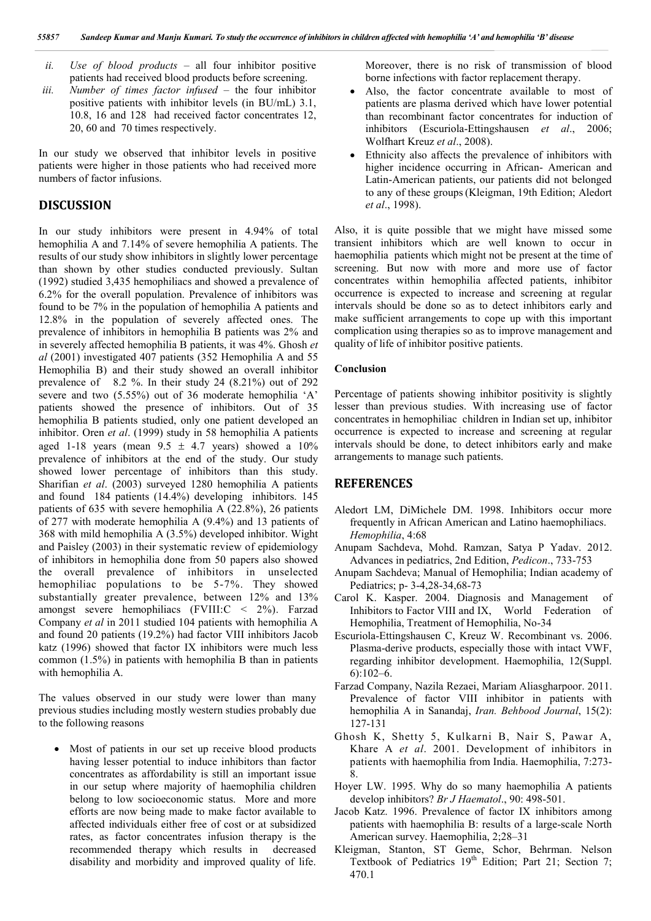- *ii. Use of blood products –* all four inhibitor positive patients had received blood products before screening.
- *iii. Number of times factor infused –* the four inhibitor positive patients with inhibitor levels (in BU/mL) 3.1, 10.8, 16 and 128 had received factor concentrates 12, 20, 60 and 70 times respectively.

In our study we observed that inhibitor levels in positive patients were higher in those patients who had received more numbers of factor infusions.

## **DISCUSSION**

In our study inhibitors were present in 4.94% of total hemophilia A and 7.14% of severe hemophilia A patients. The results of our study show inhibitors in slightly lower percentage than shown by other studies conducted previously. Sultan (1992) studied 3,435 hemophiliacs and showed a prevalence of 6.2% for the overall population. Prevalence of inhibitors was found to be 7% in the population of hemophilia A patients and 12.8% in the population of severely affected ones. The prevalence of inhibitors in hemophilia B patients was 2% and in severely affected hemophilia B patients, it was 4%. Ghosh *et al* (2001) investigated 407 patients (352 Hemophilia A and 55 Hemophilia B) and their study showed an overall inhibitor prevalence of 8.2 %. In their study 24 (8.21%) out of 292 severe and two (5.55%) out of 36 moderate hemophilia 'A' patients showed the presence of inhibitors. Out of 35 hemophilia B patients studied, only one patient developed an inhibitor. Oren *et al*. (1999) study in 58 hemophilia A patients aged 1-18 years (mean  $9.5 \pm 4.7$  years) showed a  $10\%$ prevalence of inhibitors at the end of the study. Our study showed lower percentage of inhibitors than this study. Sharifian *et al*. (2003) surveyed 1280 hemophilia A patients and found 184 patients (14.4%) developing inhibitors. 145 patients of 635 with severe hemophilia A (22.8%), 26 patients of 277 with moderate hemophilia A (9.4%) and 13 patients of 368 with mild hemophilia A (3.5%) developed inhibitor. Wight and Paisley (2003) in their systematic review of epidemiology of inhibitors in hemophilia done from 50 papers also showed the overall prevalence of inhibitors in unselected hemophiliac populations to be 5-7%. They showed substantially greater prevalence, between 12% and 13% amongst severe hemophiliacs (FVIII:C < 2%). Farzad Company *et al* in 2011 studied 104 patients with hemophilia A and found 20 patients (19.2%) had factor VIII inhibitors Jacob katz (1996) showed that factor IX inhibitors were much less common (1.5%) in patients with hemophilia B than in patients with hemophilia A.

The values observed in our study were lower than many previous studies including mostly western studies probably due to the following reasons

• Most of patients in our set up receive blood products having lesser potential to induce inhibitors than factor concentrates as affordability is still an important issue in our setup where majority of haemophilia children belong to low socioeconomic status. More and more efforts are now being made to make factor available to affected individuals either free of cost or at subsidized rates, as factor concentrates infusion therapy is the recommended therapy which results in decreased disability and morbidity and improved quality of life.

Moreover, there is no risk of transmission of blood borne infections with factor replacement therapy.

- Also, the factor concentrate available to most of patients are plasma derived which have lower potential than recombinant factor concentrates for induction of inhibitors (Escuriola-Ettingshausen *et al*., 2006; Wolfhart Kreuz *et al*., 2008).
- Ethnicity also affects the prevalence of inhibitors with higher incidence occurring in African- American and Latin-American patients, our patients did not belonged to any of these groups(Kleigman, 19th Edition; Aledort *et al*., 1998).

Also, it is quite possible that we might have missed some transient inhibitors which are well known to occur in haemophilia patients which might not be present at the time of screening. But now with more and more use of factor concentrates within hemophilia affected patients, inhibitor occurrence is expected to increase and screening at regular intervals should be done so as to detect inhibitors early and make sufficient arrangements to cope up with this important complication using therapies so as to improve management and quality of life of inhibitor positive patients.

### **Conclusion**

Percentage of patients showing inhibitor positivity is slightly lesser than previous studies. With increasing use of factor concentrates in hemophiliac children in Indian set up, inhibitor occurrence is expected to increase and screening at regular intervals should be done, to detect inhibitors early and make arrangements to manage such patients.

#### **REFERENCES**

- Aledort LM, DiMichele DM. 1998. Inhibitors occur more frequently in African American and Latino haemophiliacs. *Hemophilia*, 4:68
- Anupam Sachdeva, Mohd. Ramzan, Satya P Yadav. 2012. Advances in pediatrics, 2nd Edition, *Pedicon*., 733-753
- Anupam Sachdeva; Manual of Hemophilia; Indian academy of Pediatrics; p- 3-4,28-34,68-73
- Carol K. Kasper. 2004. Diagnosis and Management of Inhibitors to Factor VIII and IX, World Federation of Hemophilia, Treatment of Hemophilia, No-34
- Escuriola-Ettingshausen C, Kreuz W. Recombinant vs. 2006. Plasma-derive products, especially those with intact VWF, regarding inhibitor development. Haemophilia, 12(Suppl. 6):102–6.
- Farzad Company, Nazila Rezaei, Mariam Aliasgharpoor. 2011. Prevalence of factor VIII inhibitor in patients with hemophilia A in Sanandaj, *Iran. Behbood Journal*, 15(2): 127-131
- Ghosh K, Shetty 5, Kulkarni B, Nair S, Pawar A, Khare A *et al*. 2001. Development of inhibitors in patients with haemophilia from India. Haemophilia, 7:273- 8.
- Hoyer LW. 1995. Why do so many haemophilia A patients develop inhibitors? *Br J Haematol*., 90: 498-501.
- Jacob Katz. 1996. Prevalence of factor IX inhibitors among patients with haemophilia B: results of a large-scale North American survey. Haemophilia, 2;28–31
- Kleigman, Stanton, ST Geme, Schor, Behrman. Nelson Textbook of Pediatrics 19<sup>th</sup> Edition; Part 21; Section 7; 470.1